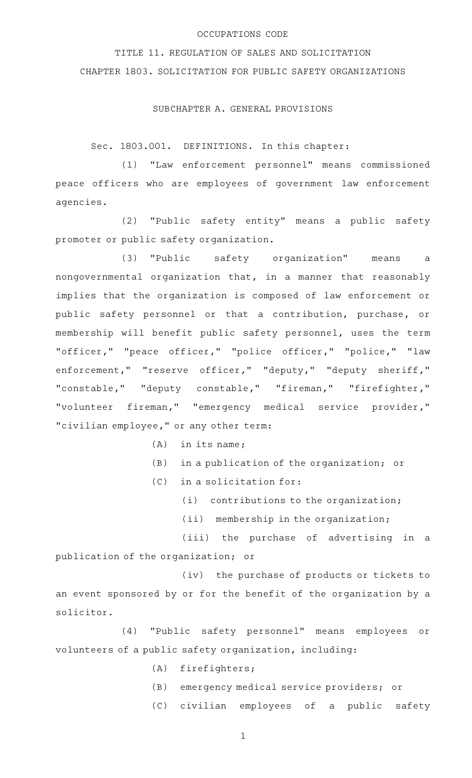## OCCUPATIONS CODE

TITLE 11. REGULATION OF SALES AND SOLICITATION CHAPTER 1803. SOLICITATION FOR PUBLIC SAFETY ORGANIZATIONS

## SUBCHAPTER A. GENERAL PROVISIONS

Sec. 1803.001. DEFINITIONS. In this chapter:

(1) "Law enforcement personnel" means commissioned peace officers who are employees of government law enforcement agencies.

(2) "Public safety entity" means a public safety promoter or public safety organization.

(3) "Public safety organization" means a nongovernmental organization that, in a manner that reasonably implies that the organization is composed of law enforcement or public safety personnel or that a contribution, purchase, or membership will benefit public safety personnel, uses the term "officer," "peace officer," "police officer," "police," "law enforcement," "reserve officer," "deputy," "deputy sheriff," "constable," "deputy constable," "fireman," "firefighter," "volunteer fireman," "emergency medical service provider," "civilian employee," or any other term:

- $(A)$  in its name;
- $(B)$  in a publication of the organization; or

 $(C)$  in a solicitation for:

 $(i)$  contributions to the organization;

 $(iii)$  membership in the organization;

(iii) the purchase of advertising in a publication of the organization; or

(iv) the purchase of products or tickets to an event sponsored by or for the benefit of the organization by a solicitor.

(4) "Public safety personnel" means employees or volunteers of a public safety organization, including:

- (A) firefighters;
- (B) emergency medical service providers; or
- (C) civilian employees of a public safety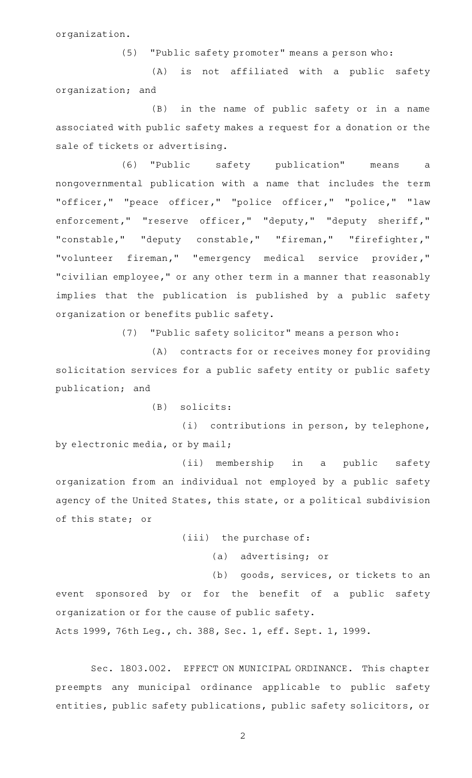organization.

(5) "Public safety promoter" means a person who:

(A) is not affiliated with a public safety organization; and

(B) in the name of public safety or in a name associated with public safety makes a request for a donation or the sale of tickets or advertising.

(6) "Public safety publication" means a nongovernmental publication with a name that includes the term "officer," "peace officer," "police officer," "police," "law enforcement," "reserve officer," "deputy," "deputy sheriff," "constable," "deputy constable," "fireman," "firefighter," "volunteer fireman," "emergency medical service provider," "civilian employee," or any other term in a manner that reasonably implies that the publication is published by a public safety organization or benefits public safety.

(7) "Public safety solicitor" means a person who:

(A) contracts for or receives money for providing solicitation services for a public safety entity or public safety publication; and

 $(B)$  solicits:

(i) contributions in person, by telephone, by electronic media, or by mail;

(ii) membership in a public safety organization from an individual not employed by a public safety agency of the United States, this state, or a political subdivision of this state; or

(iii) the purchase of:

(a) advertising; or

(b) goods, services, or tickets to an event sponsored by or for the benefit of a public safety organization or for the cause of public safety.

Acts 1999, 76th Leg., ch. 388, Sec. 1, eff. Sept. 1, 1999.

Sec. 1803.002. EFFECT ON MUNICIPAL ORDINANCE. This chapter preempts any municipal ordinance applicable to public safety entities, public safety publications, public safety solicitors, or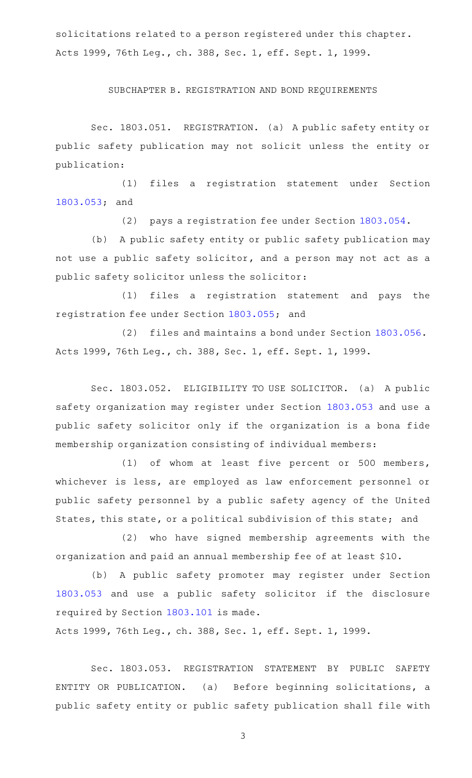solicitations related to a person registered under this chapter. Acts 1999, 76th Leg., ch. 388, Sec. 1, eff. Sept. 1, 1999.

SUBCHAPTER B. REGISTRATION AND BOND REQUIREMENTS

Sec. 1803.051. REGISTRATION. (a) A public safety entity or public safety publication may not solicit unless the entity or publication:

(1) files a registration statement under Section [1803.053](http://www.statutes.legis.state.tx.us/GetStatute.aspx?Code=OC&Value=1803.053); and

(2) pays a registration fee under Section [1803.054](http://www.statutes.legis.state.tx.us/GetStatute.aspx?Code=OC&Value=1803.054).

(b) A public safety entity or public safety publication may not use a public safety solicitor, and a person may not act as a public safety solicitor unless the solicitor:

(1) files a registration statement and pays the registration fee under Section [1803.055](http://www.statutes.legis.state.tx.us/GetStatute.aspx?Code=OC&Value=1803.055); and

(2) files and maintains a bond under Section [1803.056.](http://www.statutes.legis.state.tx.us/GetStatute.aspx?Code=OC&Value=1803.056) Acts 1999, 76th Leg., ch. 388, Sec. 1, eff. Sept. 1, 1999.

Sec. 1803.052. ELIGIBILITY TO USE SOLICITOR. (a) A public safety organization may register under Section [1803.053](http://www.statutes.legis.state.tx.us/GetStatute.aspx?Code=OC&Value=1803.053) and use a public safety solicitor only if the organization is a bona fide membership organization consisting of individual members:

(1) of whom at least five percent or 500 members, whichever is less, are employed as law enforcement personnel or public safety personnel by a public safety agency of the United States, this state, or a political subdivision of this state; and

(2) who have signed membership agreements with the organization and paid an annual membership fee of at least \$10.

(b) A public safety promoter may register under Section [1803.053](http://www.statutes.legis.state.tx.us/GetStatute.aspx?Code=OC&Value=1803.053) and use a public safety solicitor if the disclosure required by Section [1803.101](http://www.statutes.legis.state.tx.us/GetStatute.aspx?Code=OC&Value=1803.101) is made.

Acts 1999, 76th Leg., ch. 388, Sec. 1, eff. Sept. 1, 1999.

Sec. 1803.053. REGISTRATION STATEMENT BY PUBLIC SAFETY ENTITY OR PUBLICATION. (a) Before beginning solicitations, a public safety entity or public safety publication shall file with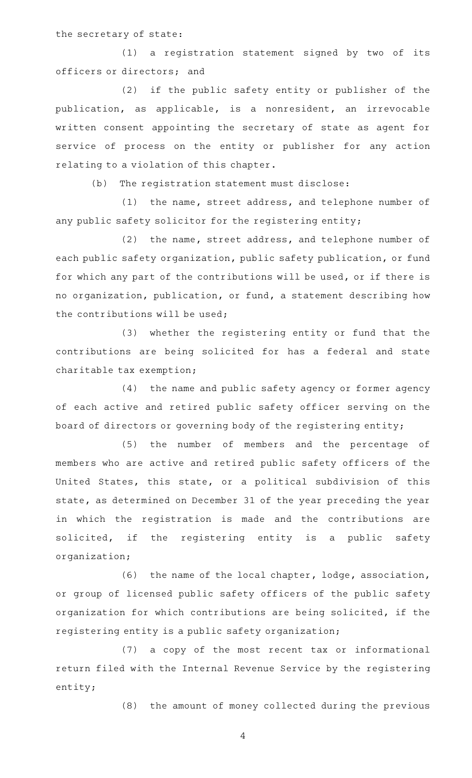the secretary of state:

(1) a registration statement signed by two of its officers or directors; and

(2) if the public safety entity or publisher of the publication, as applicable, is a nonresident, an irrevocable written consent appointing the secretary of state as agent for service of process on the entity or publisher for any action relating to a violation of this chapter.

(b) The registration statement must disclose:

(1) the name, street address, and telephone number of any public safety solicitor for the registering entity;

(2) the name, street address, and telephone number of each public safety organization, public safety publication, or fund for which any part of the contributions will be used, or if there is no organization, publication, or fund, a statement describing how the contributions will be used;

(3) whether the registering entity or fund that the contributions are being solicited for has a federal and state charitable tax exemption;

(4) the name and public safety agency or former agency of each active and retired public safety officer serving on the board of directors or governing body of the registering entity;

(5) the number of members and the percentage of members who are active and retired public safety officers of the United States, this state, or a political subdivision of this state, as determined on December 31 of the year preceding the year in which the registration is made and the contributions are solicited, if the registering entity is a public safety organization;

(6) the name of the local chapter, lodge, association, or group of licensed public safety officers of the public safety organization for which contributions are being solicited, if the registering entity is a public safety organization;

(7) a copy of the most recent tax or informational return filed with the Internal Revenue Service by the registering entity;

(8) the amount of money collected during the previous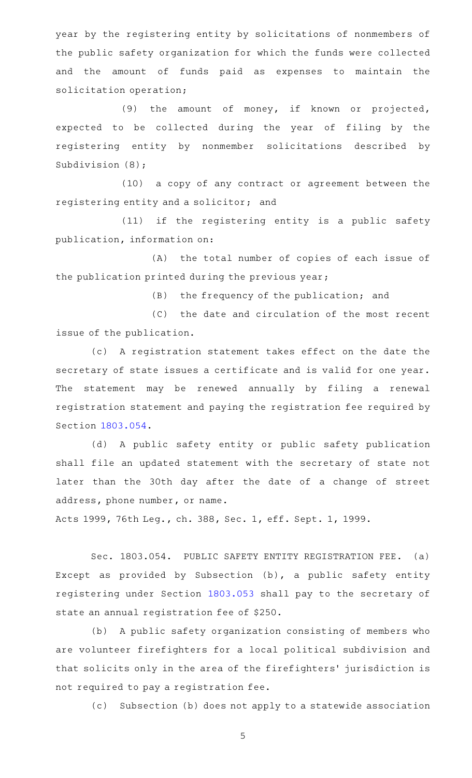year by the registering entity by solicitations of nonmembers of the public safety organization for which the funds were collected and the amount of funds paid as expenses to maintain the solicitation operation;

(9) the amount of money, if known or projected, expected to be collected during the year of filing by the registering entity by nonmember solicitations described by Subdivision (8);

(10) a copy of any contract or agreement between the registering entity and a solicitor; and

 $(11)$  if the registering entity is a public safety publication, information on:

(A) the total number of copies of each issue of the publication printed during the previous year;

 $(B)$  the frequency of the publication; and

(C) the date and circulation of the most recent issue of the publication.

(c)AAA registration statement takes effect on the date the secretary of state issues a certificate and is valid for one year. The statement may be renewed annually by filing a renewal registration statement and paying the registration fee required by Section [1803.054](http://www.statutes.legis.state.tx.us/GetStatute.aspx?Code=OC&Value=1803.054).

(d) A public safety entity or public safety publication shall file an updated statement with the secretary of state not later than the 30th day after the date of a change of street address, phone number, or name.

Acts 1999, 76th Leg., ch. 388, Sec. 1, eff. Sept. 1, 1999.

Sec. 1803.054. PUBLIC SAFETY ENTITY REGISTRATION FEE. (a) Except as provided by Subsection (b), a public safety entity registering under Section [1803.053](http://www.statutes.legis.state.tx.us/GetStatute.aspx?Code=OC&Value=1803.053) shall pay to the secretary of state an annual registration fee of \$250.

(b) A public safety organization consisting of members who are volunteer firefighters for a local political subdivision and that solicits only in the area of the firefighters' jurisdiction is not required to pay a registration fee.

(c) Subsection (b) does not apply to a statewide association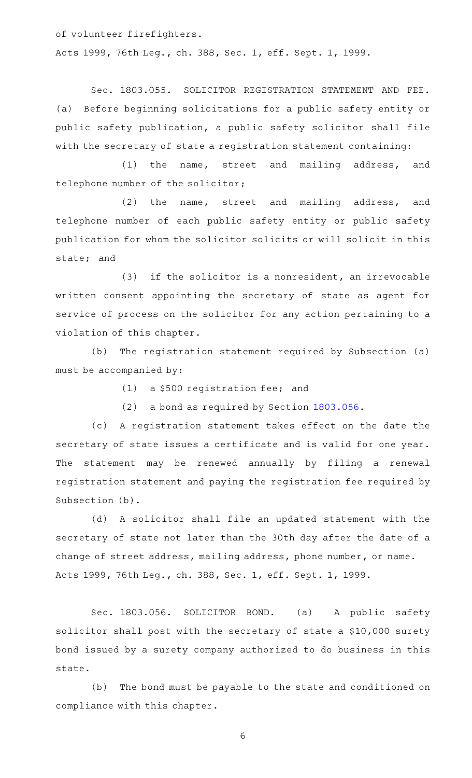of volunteer firefighters.

Acts 1999, 76th Leg., ch. 388, Sec. 1, eff. Sept. 1, 1999.

Sec. 1803.055. SOLICITOR REGISTRATION STATEMENT AND FEE. (a) Before beginning solicitations for a public safety entity or public safety publication, a public safety solicitor shall file with the secretary of state a registration statement containing:

(1) the name, street and mailing address, and telephone number of the solicitor;

(2) the name, street and mailing address, and telephone number of each public safety entity or public safety publication for whom the solicitor solicits or will solicit in this state; and

 $(3)$  if the solicitor is a nonresident, an irrevocable written consent appointing the secretary of state as agent for service of process on the solicitor for any action pertaining to a violation of this chapter.

(b) The registration statement required by Subsection (a) must be accompanied by:

 $(1)$  a \$500 registration fee; and

(2) a bond as required by Section [1803.056](http://www.statutes.legis.state.tx.us/GetStatute.aspx?Code=OC&Value=1803.056).

(c)AAA registration statement takes effect on the date the secretary of state issues a certificate and is valid for one year. The statement may be renewed annually by filing a renewal registration statement and paying the registration fee required by Subsection (b).

(d) A solicitor shall file an updated statement with the secretary of state not later than the 30th day after the date of a change of street address, mailing address, phone number, or name. Acts 1999, 76th Leg., ch. 388, Sec. 1, eff. Sept. 1, 1999.

Sec. 1803.056. SOLICITOR BOND. (a) A public safety solicitor shall post with the secretary of state a \$10,000 surety bond issued by a surety company authorized to do business in this state.

(b) The bond must be payable to the state and conditioned on compliance with this chapter.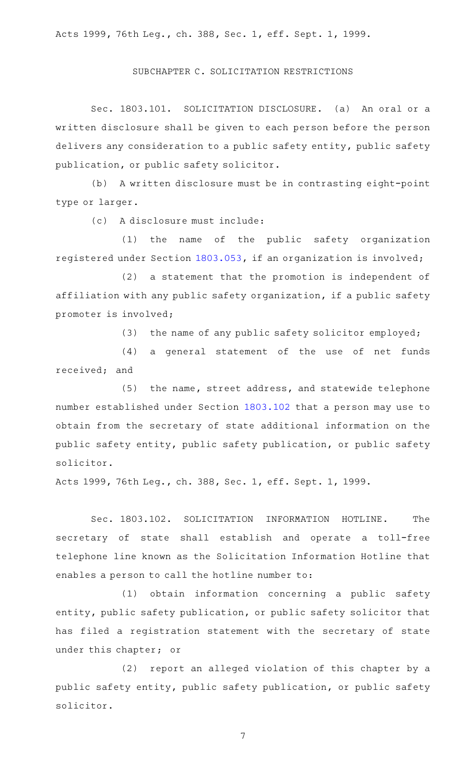Acts 1999, 76th Leg., ch. 388, Sec. 1, eff. Sept. 1, 1999.

## SUBCHAPTER C. SOLICITATION RESTRICTIONS

Sec. 1803.101. SOLICITATION DISCLOSURE. (a) An oral or a written disclosure shall be given to each person before the person delivers any consideration to a public safety entity, public safety publication, or public safety solicitor.

(b) A written disclosure must be in contrasting eight-point type or larger.

(c) A disclosure must include:

(1) the name of the public safety organization registered under Section [1803.053,](http://www.statutes.legis.state.tx.us/GetStatute.aspx?Code=OC&Value=1803.053) if an organization is involved;

(2) a statement that the promotion is independent of affiliation with any public safety organization, if a public safety promoter is involved;

(3) the name of any public safety solicitor employed;

(4) a general statement of the use of net funds received; and

 $(5)$  the name, street address, and statewide telephone number established under Section [1803.102](http://www.statutes.legis.state.tx.us/GetStatute.aspx?Code=OC&Value=1803.102) that a person may use to obtain from the secretary of state additional information on the public safety entity, public safety publication, or public safety solicitor.

Acts 1999, 76th Leg., ch. 388, Sec. 1, eff. Sept. 1, 1999.

Sec. 1803.102. SOLICITATION INFORMATION HOTLINE. The secretary of state shall establish and operate a toll-free telephone line known as the Solicitation Information Hotline that enables a person to call the hotline number to:

(1) obtain information concerning a public safety entity, public safety publication, or public safety solicitor that has filed a registration statement with the secretary of state under this chapter; or

(2) report an alleged violation of this chapter by a public safety entity, public safety publication, or public safety solicitor.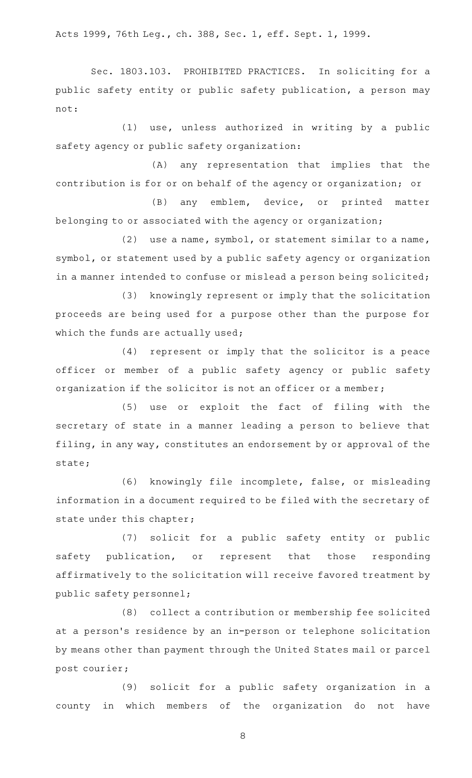Acts 1999, 76th Leg., ch. 388, Sec. 1, eff. Sept. 1, 1999.

Sec. 1803.103. PROHIBITED PRACTICES. In soliciting for a public safety entity or public safety publication, a person may not:

 $(1)$  use, unless authorized in writing by a public safety agency or public safety organization:

(A) any representation that implies that the contribution is for or on behalf of the agency or organization; or

(B) any emblem, device, or printed matter belonging to or associated with the agency or organization;

(2) use a name, symbol, or statement similar to a name, symbol, or statement used by a public safety agency or organization in a manner intended to confuse or mislead a person being solicited;

(3) knowingly represent or imply that the solicitation proceeds are being used for a purpose other than the purpose for which the funds are actually used;

(4) represent or imply that the solicitor is a peace officer or member of a public safety agency or public safety organization if the solicitor is not an officer or a member;

(5) use or exploit the fact of filing with the secretary of state in a manner leading a person to believe that filing, in any way, constitutes an endorsement by or approval of the state;

(6) knowingly file incomplete, false, or misleading information in a document required to be filed with the secretary of state under this chapter;

(7) solicit for a public safety entity or public safety publication, or represent that those responding affirmatively to the solicitation will receive favored treatment by public safety personnel;

(8) collect a contribution or membership fee solicited at a person's residence by an in-person or telephone solicitation by means other than payment through the United States mail or parcel post courier;

(9) solicit for a public safety organization in a county in which members of the organization do not have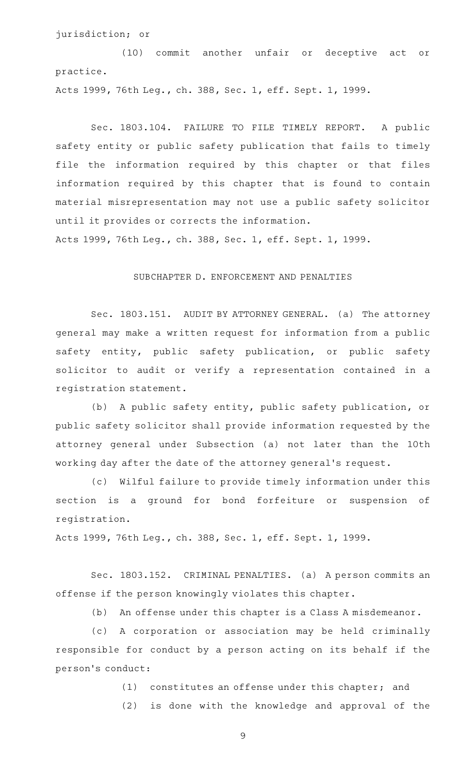jurisdiction; or

(10) commit another unfair or deceptive act or practice.

Acts 1999, 76th Leg., ch. 388, Sec. 1, eff. Sept. 1, 1999.

Sec. 1803.104. FAILURE TO FILE TIMELY REPORT. A public safety entity or public safety publication that fails to timely file the information required by this chapter or that files information required by this chapter that is found to contain material misrepresentation may not use a public safety solicitor until it provides or corrects the information.

Acts 1999, 76th Leg., ch. 388, Sec. 1, eff. Sept. 1, 1999.

## SUBCHAPTER D. ENFORCEMENT AND PENALTIES

Sec. 1803.151. AUDIT BY ATTORNEY GENERAL. (a) The attorney general may make a written request for information from a public safety entity, public safety publication, or public safety solicitor to audit or verify a representation contained in a registration statement.

(b) A public safety entity, public safety publication, or public safety solicitor shall provide information requested by the attorney general under Subsection (a) not later than the 10th working day after the date of the attorney general 's request.

(c) Wilful failure to provide timely information under this section is a ground for bond forfeiture or suspension of registration.

Acts 1999, 76th Leg., ch. 388, Sec. 1, eff. Sept. 1, 1999.

Sec. 1803.152. CRIMINAL PENALTIES. (a) A person commits an offense if the person knowingly violates this chapter.

(b) An offense under this chapter is a Class A misdemeanor.

(c)AAA corporation or association may be held criminally responsible for conduct by a person acting on its behalf if the person 's conduct:

> (1) constitutes an offense under this chapter; and (2) is done with the knowledge and approval of the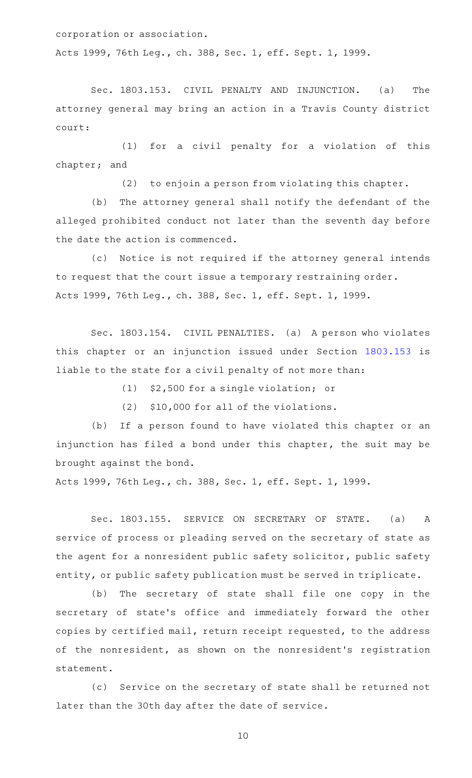corporation or association.

Acts 1999, 76th Leg., ch. 388, Sec. 1, eff. Sept. 1, 1999.

Sec. 1803.153. CIVIL PENALTY AND INJUNCTION. (a) The attorney general may bring an action in a Travis County district court:

(1) for a civil penalty for a violation of this chapter; and

 $(2)$  to enjoin a person from violating this chapter.

(b) The attorney general shall notify the defendant of the alleged prohibited conduct not later than the seventh day before the date the action is commenced.

(c) Notice is not required if the attorney general intends to request that the court issue a temporary restraining order. Acts 1999, 76th Leg., ch. 388, Sec. 1, eff. Sept. 1, 1999.

Sec. 1803.154. CIVIL PENALTIES. (a) A person who violates this chapter or an injunction issued under Section [1803.153](http://www.statutes.legis.state.tx.us/GetStatute.aspx?Code=OC&Value=1803.153) is liable to the state for a civil penalty of not more than:

 $(1)$  \$2,500 for a single violation; or

 $(2)$  \$10,000 for all of the violations.

(b) If a person found to have violated this chapter or an injunction has filed a bond under this chapter, the suit may be brought against the bond.

Acts 1999, 76th Leg., ch. 388, Sec. 1, eff. Sept. 1, 1999.

Sec. 1803.155. SERVICE ON SECRETARY OF STATE. (a) A service of process or pleading served on the secretary of state as the agent for a nonresident public safety solicitor, public safety entity, or public safety publication must be served in triplicate.

(b) The secretary of state shall file one copy in the secretary of state's office and immediately forward the other copies by certified mail, return receipt requested, to the address of the nonresident, as shown on the nonresident's registration statement.

(c) Service on the secretary of state shall be returned not later than the 30th day after the date of service.